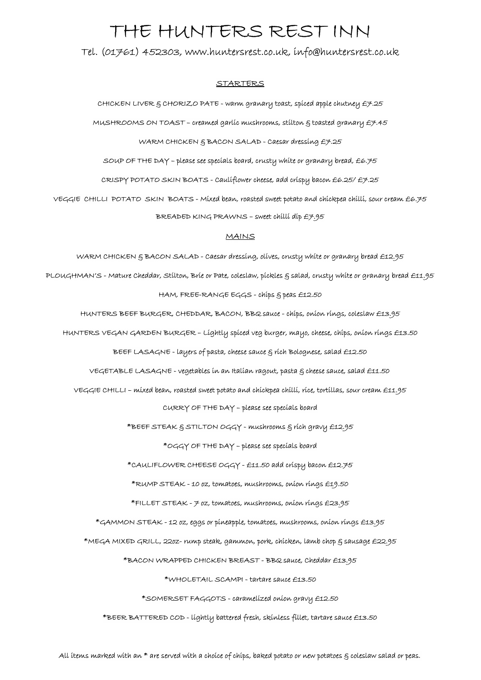# THE HUNTERS REST INN

Tel. (01761) 452303, www.huntersrest.co.uk, info@huntersrest.co.uk

## **STARTERS**

CHICKEN LIVER  $S$  CHORIZO PATE - warm granary toast, spiced apple chutney  $E7.25$ 

MUSHROOMS ON TOAST – creamed garlic mushrooms, stilton  $\xi$  toasted granary  $\cancel{E7.45}$ 

WARM CHICKEN & BACON SALAD - Caesar dressing £7.25

SOUP OF THE DAY – please see specials board, crusty white or granary bread,  $E6.75$ 

CRISPY POTATO SKIN BOATS - Cauliflower cheese, add crispy bacon £6.25/ £7.25

VEGGIE CHILLI POTATO SKIN BOATS - Mixed bean, roasted sweet potato and chickpea chilli, sour cream £6.75 BREADED KING PRAWNS – sweet chilli dip £7.95

#### MAINS

WARM CHICKEN & BACON SALAD - Caesar dressing, olives, crusty white or granary bread £12.95 PLOUGHMAN'S - Mature Cheddar, Stilton, Brie or Pate, coleslaw, pickles & salad, crusty white or granary bread £11.95 HAM, FREE-RANGE EGGS - chips & peas £12.50

HUNTERS BEEF BURGER, CHEDDAR, BACON, BBQ sauce - chips, onion rings, coleslaw £13.95

HUNTERS VEGAN GARDEN BURGER – Lightly spiced veg burger, mayo, cheese, chips, onion rings £13.50

BEEF LASAGNE - layers of pasta, cheese sauce & rich Bolognese, salad £12.50

VEGETABLE LASAGNE - vegetables in an Italian ragout, pasta & cheese sauce, salad £11.50

VEGGIE CHILLI – mixed bean, roasted sweet potato and chickpea chilli, rice, tortillas, sour cream £11.95 CURRY OF THE DAY – please see specials board

\*BEEF STEAK & STILTON OGGY - mushrooms & rich gravy £12.95

\*OGGY OF THE DAY – please see specials board

\*CAULIFLOWER CHEESE OGGY - £11.50 add crispy bacon £12.75

\*RUMP STEAK - 10 oz, tomatoes, mushrooms, onion rings £19.50

\*FILLET STEAK - 7 oz, tomatoes, mushrooms, onion rings £23.95

\*GAMMON STEAK - 12 oz, eggs or pineapple, tomatoes, mushrooms, onion rings £13.95

\*MEGA MIXED GRILL, 22oz- rump steak, gammon, pork, chicken, lamb chop & sausage £22.95

\*BACON WRAPPED CHICKEN BREAST - BBQ sauce, Cheddar £13.95

\*WHOLETAIL SCAMPI - tartare sauce £13.50

\*SOMERSET FAGGOTS - caramelized onion gravy £12.50

\*BEER BATTERED COD - lightly battered fresh, skinless fillet, tartare sauce £13.50